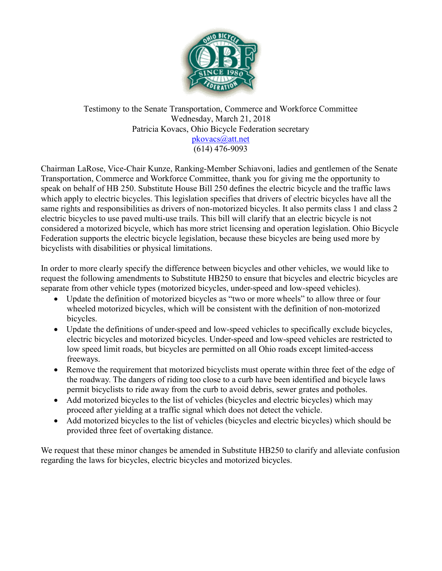

#### Testimony to the Senate Transportation, Commerce and Workforce Committee Wednesday, March 21, 2018 Patricia Kovacs, Ohio Bicycle Federation secretary pkovacs@att.net (614) 476-9093

Chairman LaRose, Vice-Chair Kunze, Ranking-Member Schiavoni, ladies and gentlemen of the Senate Transportation, Commerce and Workforce Committee, thank you for giving me the opportunity to speak on behalf of HB 250. Substitute House Bill 250 defines the electric bicycle and the traffic laws which apply to electric bicycles. This legislation specifies that drivers of electric bicycles have all the same rights and responsibilities as drivers of non-motorized bicycles. It also permits class 1 and class 2 electric bicycles to use paved multi-use trails. This bill will clarify that an electric bicycle is not considered a motorized bicycle, which has more strict licensing and operation legislation. Ohio Bicycle Federation supports the electric bicycle legislation, because these bicycles are being used more by bicyclists with disabilities or physical limitations.

In order to more clearly specify the difference between bicycles and other vehicles, we would like to request the following amendments to Substitute HB250 to ensure that bicycles and electric bicycles are separate from other vehicle types (motorized bicycles, under-speed and low-speed vehicles).

- Update the definition of motorized bicycles as "two or more wheels" to allow three or four wheeled motorized bicycles, which will be consistent with the definition of non-motorized bicycles.
- Update the definitions of under-speed and low-speed vehicles to specifically exclude bicycles, electric bicycles and motorized bicycles. Under-speed and low-speed vehicles are restricted to low speed limit roads, but bicycles are permitted on all Ohio roads except limited-access freeways.
- Remove the requirement that motorized bicyclists must operate within three feet of the edge of the roadway. The dangers of riding too close to a curb have been identified and bicycle laws permit bicyclists to ride away from the curb to avoid debris, sewer grates and potholes.
- Add motorized bicycles to the list of vehicles (bicycles and electric bicycles) which may proceed after yielding at a traffic signal which does not detect the vehicle.
- Add motorized bicycles to the list of vehicles (bicycles and electric bicycles) which should be provided three feet of overtaking distance.

We request that these minor changes be amended in Substitute HB250 to clarify and alleviate confusion regarding the laws for bicycles, electric bicycles and motorized bicycles.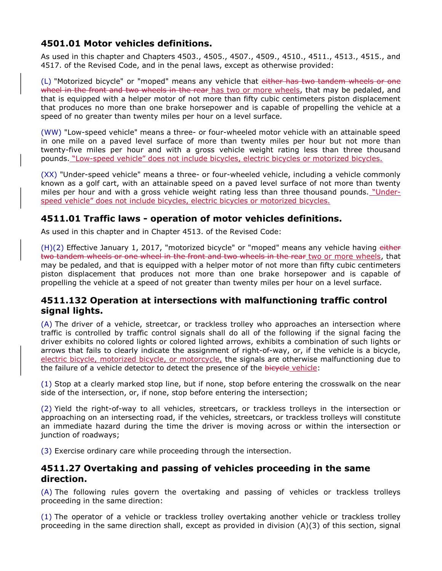## 4501.01 Motor vehicles definitions.

As used in this chapter and Chapters 4503., 4505., 4507., 4509., 4510., 4511., 4513., 4515., and 4517. of the Revised Code, and in the penal laws, except as otherwise provided:

(L) "Motorized bicycle" or "moped" means any vehicle that either has two tandem wheels or one wheel in the front and two wheels in the rear has two or more wheels, that may be pedaled, and that is equipped with a helper motor of not more than fifty cubic centimeters piston displacement that produces no more than one brake horsepower and is capable of propelling the vehicle at a speed of no greater than twenty miles per hour on a level surface.

(WW) "Low-speed vehicle" means a three- or four-wheeled motor vehicle with an attainable speed in one mile on a paved level surface of more than twenty miles per hour but not more than twenty-five miles per hour and with a gross vehicle weight rating less than three thousand pounds. "Low-speed vehicle" does not include bicycles, electric bicycles or motorized bicycles.

(XX) "Under-speed vehicle" means a three- or four-wheeled vehicle, including a vehicle commonly known as a golf cart, with an attainable speed on a paved level surface of not more than twenty miles per hour and with a gross vehicle weight rating less than three thousand pounds. "Underspeed vehicle" does not include bicycles, electric bicycles or motorized bicycles.

### 4511.01 Traffic laws - operation of motor vehicles definitions.

As used in this chapter and in Chapter 4513. of the Revised Code:

(H)(2) Effective January 1, 2017, "motorized bicycle" or "moped" means any vehicle having either two tandem wheels or one wheel in the front and two wheels in the rear two or more wheels, that may be pedaled, and that is equipped with a helper motor of not more than fifty cubic centimeters piston displacement that produces not more than one brake horsepower and is capable of propelling the vehicle at a speed of not greater than twenty miles per hour on a level surface.

# 4511.132 Operation at intersections with malfunctioning traffic control signal lights.

(A) The driver of a vehicle, streetcar, or trackless trolley who approaches an intersection where traffic is controlled by traffic control signals shall do all of the following if the signal facing the driver exhibits no colored lights or colored lighted arrows, exhibits a combination of such lights or arrows that fails to clearly indicate the assignment of right-of-way, or, if the vehicle is a bicycle, electric bicycle, motorized bicycle, or motorcycle, the signals are otherwise malfunctioning due to the failure of a vehicle detector to detect the presence of the bicycle vehicle:

(1) Stop at a clearly marked stop line, but if none, stop before entering the crosswalk on the near side of the intersection, or, if none, stop before entering the intersection;

(2) Yield the right-of-way to all vehicles, streetcars, or trackless trolleys in the intersection or approaching on an intersecting road, if the vehicles, streetcars, or trackless trolleys will constitute an immediate hazard during the time the driver is moving across or within the intersection or junction of roadways;

(3) Exercise ordinary care while proceeding through the intersection.

#### 4511.27 Overtaking and passing of vehicles proceeding in the same direction.

(A) The following rules govern the overtaking and passing of vehicles or trackless trolleys proceeding in the same direction:

(1) The operator of a vehicle or trackless trolley overtaking another vehicle or trackless trolley proceeding in the same direction shall, except as provided in division (A)(3) of this section, signal